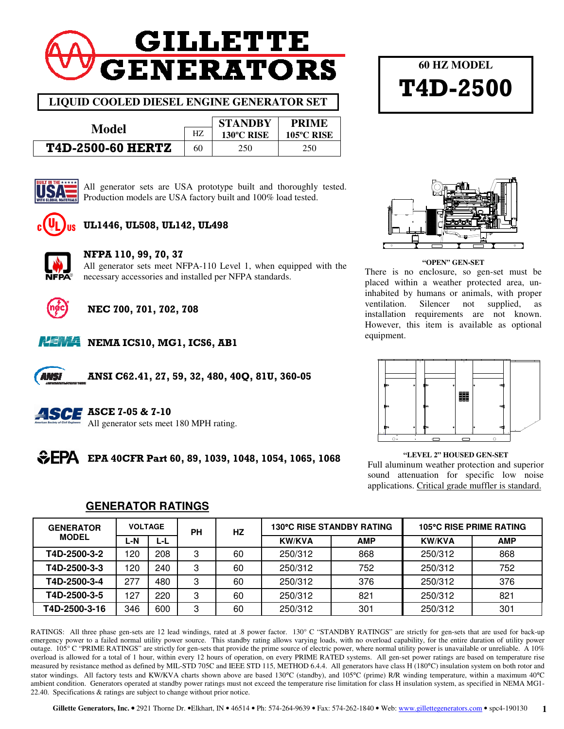# **GILLETTE GENERATORS**

**LIQUID COOLED DIESEL ENGINE GENERATOR SET** 

|                          |    | <b>STANDRY</b> | <b>PRIME</b> |  |
|--------------------------|----|----------------|--------------|--|
| Model                    | Н7 | 130°C RISE     | 105°C RISE   |  |
| <b>T4D-2500-60 HERTZ</b> | 60 | 250            | 250          |  |



All generator sets are USA prototype built and thoroughly tested. Production models are USA factory built and 100% load tested.



### UL1446, UL508, UL142, UL498



#### NFPA 110, 99, 70, 37

All generator sets meet NFPA-110 Level 1, when equipped with the necessary accessories and installed per NFPA standards.



## NEC 700, 701, 702, 708



ANSI

**NEMA NEMA ICS10, MG1, ICS6, AB1** 

ANSI C62.41, 27, 59, 32, 480, 40Q, 81U, 360-05



#### **ASCE** ASCE 7-05 & 7-10

All generator sets meet 180 MPH rating.



**60 HZ MODEL** 

T4D-2500

#### **"OPEN" GEN-SET**

There is no enclosure, so gen-set must be placed within a weather protected area, uninhabited by humans or animals, with proper ventilation. Silencer not supplied, as installation requirements are not known. However, this item is available as optional equipment.



# Full aluminum weather protection and superior

sound attenuation for specific low noise applications. Critical grade muffler is standard.

| <b>GENERATOR</b> | <b>VOLTAGE</b> |     | PН | <b>130°C RISE STANDBY RATING</b><br>HZ |               | <b>105°C RISE PRIME RATING</b> |               |            |
|------------------|----------------|-----|----|----------------------------------------|---------------|--------------------------------|---------------|------------|
| <b>MODEL</b>     | ∟-N            | ĿĿ  |    |                                        | <b>KW/KVA</b> | <b>AMP</b>                     | <b>KW/KVA</b> | <b>AMP</b> |
| T4D-2500-3-2     | 120            | 208 | 3  | 60                                     | 250/312       | 868                            | 250/312       | 868        |
| T4D-2500-3-3     | 120            | 240 | 3  | 60                                     | 250/312       | 752                            | 250/312       | 752        |
| T4D-2500-3-4     | 277            | 480 | 3  | 60                                     | 250/312       | 376                            | 250/312       | 376        |
| T4D-2500-3-5     | 127            | 220 | 3  | 60                                     | 250/312       | 821                            | 250/312       | 821        |
| T4D-2500-3-16    | 346            | 600 | 3  | 60                                     | 250/312       | 301                            | 250/312       | 301        |

**GENERATOR RATINGS**

RATINGS: All three phase gen-sets are 12 lead windings, rated at .8 power factor. 130° C "STANDBY RATINGS" are strictly for gen-sets that are used for back-up emergency power to a failed normal utility power source. This standby rating allows varying loads, with no overload capability, for the entire duration of utility power outage. 105° C "PRIME RATINGS" are strictly for gen-sets that provide the prime source of electric power, where normal utility power is unavailable or unreliable. A 10% overload is allowed for a total of 1 hour, within every 12 hours of operation, on every PRIME RATED systems. All gen-set power ratings are based on temperature rise measured by resistance method as defined by MIL-STD 705C and IEEE STD 115, METHOD 6.4.4. All generators have class H (180°C) insulation system on both rotor and stator windings. All factory tests and KW/KVA charts shown above are based 130°C (standby), and 105°C (prime) R/R winding temperature, within a maximum 40°C ambient condition. Generators operated at standby power ratings must not exceed the temperature rise limitation for class H insulation system, as specified in NEMA MG1- 22.40. Specifications & ratings are subject to change without prior notice.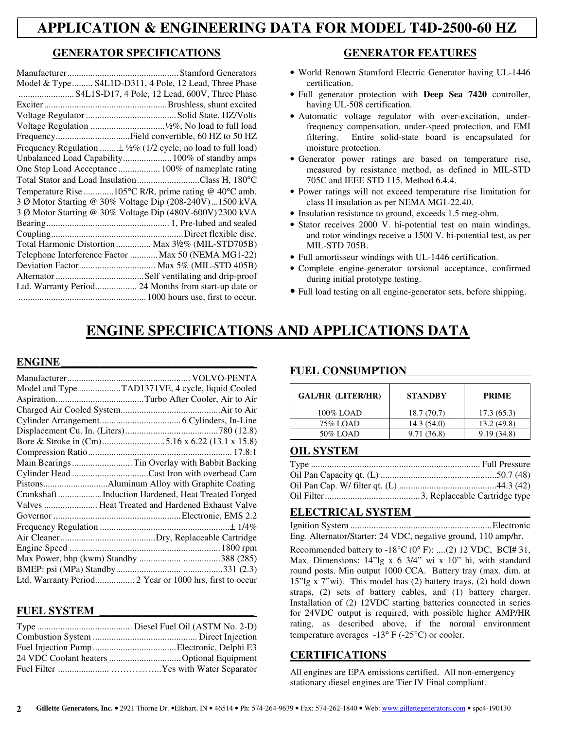# **APPLICATION & ENGINEERING DATA FOR MODEL T4D-2500-60 HZ**

#### **GENERATOR SPECIFICATIONS**

| Model & Type S4L1D-D311, 4 Pole, 12 Lead, Three Phase                      |
|----------------------------------------------------------------------------|
| S4L1S-D17, 4 Pole, 12 Lead, 600V, Three Phase                              |
|                                                                            |
|                                                                            |
|                                                                            |
|                                                                            |
| Frequency Regulation $\pm \frac{1}{2}\%$ (1/2 cycle, no load to full load) |
|                                                                            |
| One Step Load Acceptance  100% of nameplate rating                         |
| Total Stator and Load InsulationClass H, 180°C                             |
| Temperature Rise 105°C R/R, prime rating @ 40°C amb.                       |
| 3 Ø Motor Starting @ 30% Voltage Dip (208-240V)1500 kVA                    |
| 3 Ø Motor Starting @ 30% Voltage Dip (480V-600V) 2300 kVA                  |
|                                                                            |
|                                                                            |
| Total Harmonic Distortion  Max 31/2% (MIL-STD705B)                         |
| Telephone Interference Factor  Max 50 (NEMA MG1-22)                        |
| Deviation Factor Max 5% (MIL-STD 405B)                                     |
|                                                                            |
| Ltd. Warranty Period 24 Months from start-up date or                       |
|                                                                            |

#### **GENERATOR FEATURES**

- World Renown Stamford Electric Generator having UL-1446 certification.
- Full generator protection with **Deep Sea 7420** controller, having UL-508 certification.
- Automatic voltage regulator with over-excitation, underfrequency compensation, under-speed protection, and EMI filtering. Entire solid-state board is encapsulated for moisture protection.
- Generator power ratings are based on temperature rise, measured by resistance method, as defined in MIL-STD 705C and IEEE STD 115, Method 6.4.4.
- Power ratings will not exceed temperature rise limitation for class H insulation as per NEMA MG1-22.40.
- Insulation resistance to ground, exceeds 1.5 meg-ohm.
- Stator receives 2000 V. hi-potential test on main windings, and rotor windings receive a 1500 V. hi-potential test, as per MIL-STD 705B.
- Full amortisseur windings with UL-1446 certification.
- Complete engine-generator torsional acceptance, confirmed during initial prototype testing.
- Full load testing on all engine-generator sets, before shipping.

# **ENGINE SPECIFICATIONS AND APPLICATIONS DATA**

#### $ENGINE$

| Model and Type TAD1371VE, 4 cycle, liquid Cooled        |
|---------------------------------------------------------|
|                                                         |
|                                                         |
|                                                         |
|                                                         |
| Bore & Stroke in (Cm)5.16 x 6.22 (13.1 x 15.8)          |
|                                                         |
| Main Bearings  Tin Overlay with Babbit Backing          |
|                                                         |
|                                                         |
| CrankshaftInduction Hardened, Heat Treated Forged       |
| Valves  Heat Treated and Hardened Exhaust Valve         |
|                                                         |
|                                                         |
|                                                         |
|                                                         |
|                                                         |
|                                                         |
| Ltd. Warranty Period 2 Year or 1000 hrs, first to occur |

#### **FUEL SYSTEM \_\_\_\_\_\_\_\_\_\_\_\_\_\_\_\_\_\_\_\_\_\_\_\_\_\_\_\_**

#### **FUEL CONSUMPTION**

| GAL/HR (LITER/HR) | <b>STANDBY</b> | <b>PRIME</b> |
|-------------------|----------------|--------------|
| 100% LOAD         | 18.7(70.7)     | 17.3(65.3)   |
| 75% LOAD          | 14.3(54.0)     | 13.2(49.8)   |
| 50% LOAD          | 9.71(36.8)     | 9.19(34.8)   |

#### **OIL SYSTEM**

#### **ELECTRICAL SYSTEM \_\_\_\_\_\_\_\_\_\_\_\_\_\_\_\_\_\_\_\_\_**

Ignition System ............................................................. Electronic Eng. Alternator/Starter: 24 VDC, negative ground, 110 amp/hr.

Recommended battery to  $-18^{\circ}C$  (0° F): ....(2) 12 VDC, BCI# 31, Max. Dimensions: 14"lg x 6 3/4" wi x 10" hi, with standard round posts. Min output 1000 CCA. Battery tray (max. dim. at 15"lg x 7"wi). This model has (2) battery trays, (2) hold down straps, (2) sets of battery cables, and (1) battery charger. Installation of (2) 12VDC starting batteries connected in series for 24VDC output is required, with possible higher AMP/HR rating, as described above, if the normal environment temperature averages  $-13^{\circ}$  F ( $-25^{\circ}$ C) or cooler.

#### **CERTIFICATIONS**

All engines are EPA emissions certified. All non-emergency stationary diesel engines are Tier IV Final compliant.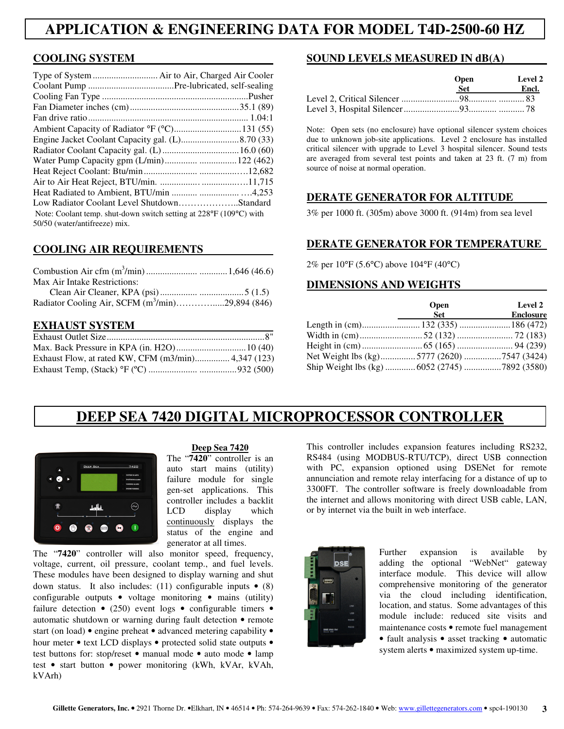# **APPLICATION & ENGINEERING DATA FOR MODEL T4D-2500-60 HZ**

#### **COOLING SYSTEM**

| Type of System  Air to Air, Charged Air Cooler                     |  |
|--------------------------------------------------------------------|--|
|                                                                    |  |
|                                                                    |  |
|                                                                    |  |
|                                                                    |  |
|                                                                    |  |
|                                                                    |  |
|                                                                    |  |
|                                                                    |  |
|                                                                    |  |
|                                                                    |  |
|                                                                    |  |
| Low Radiator Coolant Level ShutdownStandard                        |  |
| Note: Coolant temp. shut-down switch setting at 228°F (109°C) with |  |
| 50/50 (water/antifreeze) mix.                                      |  |

#### **COOLING AIR REQUIREMENTS**

| Max Air Intake Restrictions:                        |  |
|-----------------------------------------------------|--|
|                                                     |  |
| Radiator Cooling Air, SCFM $(m^3/min)$ 29,894 (846) |  |

#### **EXHAUST SYSTEM**

| Exhaust Flow, at rated KW, CFM (m3/min) 4,347 (123) |  |
|-----------------------------------------------------|--|
|                                                     |  |

#### **SOUND LEVELS MEASURED IN dB(A)**

| <b>Open</b> | Level 2 |  |
|-------------|---------|--|
| Set.        | Encl.   |  |
|             |         |  |
|             |         |  |

Note: Open sets (no enclosure) have optional silencer system choices due to unknown job-site applications. Level 2 enclosure has installed critical silencer with upgrade to Level 3 hospital silencer. Sound tests are averaged from several test points and taken at 23 ft. (7 m) from source of noise at normal operation.

#### **DERATE GENERATOR FOR ALTITUDE**

3% per 1000 ft. (305m) above 3000 ft. (914m) from sea level

#### **DERATE GENERATOR FOR TEMPERATURE**

2% per 10°F (5.6°C) above 104°F (40°C)

#### **DIMENSIONS AND WEIGHTS**

|                                               | <b>Open</b> | <b>Level 2</b>   |
|-----------------------------------------------|-------------|------------------|
|                                               | <b>Set</b>  | <b>Enclosure</b> |
|                                               |             |                  |
|                                               |             |                  |
|                                               |             |                  |
| Net Weight lbs (kg)5777 (2620)7547 (3424)     |             |                  |
| Ship Weight lbs (kg)  6052 (2745) 7892 (3580) |             |                  |

# **DEEP SEA 7420 DIGITAL MICROPROCESSOR CONTROLLER**



#### **Deep Sea 7420**

The "**7420**" controller is an auto start mains (utility) failure module for single gen-set applications. This controller includes a backlit LCD display which continuously displays the status of the engine and generator at all times.

The "**7420**" controller will also monitor speed, frequency, voltage, current, oil pressure, coolant temp., and fuel levels. These modules have been designed to display warning and shut down status. It also includes: (11) configurable inputs  $\bullet$  (8) configurable outputs • voltage monitoring • mains (utility) failure detection  $\bullet$  (250) event logs  $\bullet$  configurable timers  $\bullet$ automatic shutdown or warning during fault detection • remote start (on load) • engine preheat • advanced metering capability • hour meter • text LCD displays • protected solid state outputs • test buttons for: stop/reset • manual mode • auto mode • lamp test • start button • power monitoring (kWh, kVAr, kVAh, kVArh)

This controller includes expansion features including RS232, RS484 (using MODBUS-RTU/TCP), direct USB connection with PC, expansion optioned using DSENet for remote annunciation and remote relay interfacing for a distance of up to 3300FT. The controller software is freely downloadable from the internet and allows monitoring with direct USB cable, LAN, or by internet via the built in web interface.



Further expansion is available by adding the optional "WebNet" gateway interface module. This device will allow comprehensive monitoring of the generator via the cloud including identification, location, and status. Some advantages of this module include: reduced site visits and maintenance costs • remote fuel management • fault analysis • asset tracking • automatic system alerts • maximized system up-time.